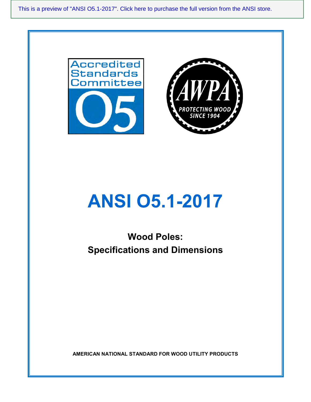[This is a preview of "ANSI O5.1-2017". Click here to purchase the full version from the ANSI store.](https://webstore.ansi.org/Standards/ANSI/ANSIO52017?source=preview)





# **ANSI O5.1-2017**

**Wood Poles: Specifications and Dimensions**

**AMERICAN NATIONAL STANDARD FOR WOOD UTILITY PRODUCTS**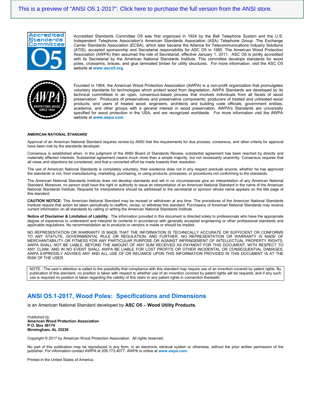

Accredited Standards Committee O5 was first organized in 1924 by the Bell Telephone System and the U.S. Independent Telephone Association's American Standards Association (ASA) Telephone Group. The Exchange Carrier Standards Association (ECSA), which later became the Alliance for Telecommunications Industry Solutions (ATIS), accepted sponsorship and Secretariat responsibility for ASC O5 in 1985. The American Wood Protection Association (AWPA) then assumed the role of Secretariat, effective January 1, 2011. ASC O5 is jointly accredited with its Secretariat by the American National Standards Institute. This committee develops standards for wood poles, crossarms, braces, and glue laminated timber for utility structures. For more information, visit the ASC O5 website at **www.asco5.org**.



Founded in 1904, the American Wood Protection Association (AWPA) is a non-profit organization that promulgates voluntary standards for technologies which protect wood from degradation. AWPA Standards are developed by its technical committees in an open, consensus-based process that involves individuals from all facets of wood preservation: Producers of preservatives and preservative components; producers of treated and untreated wood products; end users of treated wood; engineers, architects and building code officials; government entities, academia, and other groups with a general interest in wood preservation. AWPA's Standards are universally specified for wood protection in the USA, and are recognized worldwide. For more information visit the AWPA website at **www.awpa.com**.

#### **AMERICAN NATIONAL STANDARD**

Approval of an American National Standard requires review by ANSI that the requirements for due process, consensus, and other criteria for approval have been met by the standards developer.

Consensus is established when, in the judgment of the ANSI Board of Standards Review, substantial agreement has been reached by directly and materially affected interests. Substantial agreement means much more than a simple majority, but not necessarily unanimity. Consensus requires that all views and objections be considered, and that a concerted effort be made towards their resolution.

The use of American National Standards is completely voluntary; their existence does not in any respect preclude anyone, whether he has approved the standards or not, from manufacturing, marketing, purchasing, or using products, processes, or procedures not conforming to the standards.

The American National Standards Institute does not develop standards and will in no circumstances give an interpretation of any American National Standard. Moreover, no person shall have the right or authority to issue an interpretation of an American National Standard in the name of the American National Standards Institute. Requests for interpretations should be addressed to the secretariat or sponsor whose name appears on the title page of this standard.

**CAUTION NOTICE:** This American National Standard may be revised or withdrawn at any time. The procedures of the American National Standards Institute require that action be taken periodically to reaffirm, revise, or withdraw this standard. Purchasers of American National Standards may receive current information on all standards by calling or writing the American National Standards Institute.

**Notice of Disclaimer & Limitation of Liability:** The information provided in this document is directed solely to professionals who have the appropriate degree of experience to understand and interpret its contents in accordance with generally accepted engineering or other professional standards and applicable regulations. No recommendation as to products or vendors is made or should be implied.

NO REPRESENTATION OR WARRANTY IS MADE THAT THE INFORMATION IS TECHNICALLY ACCURATE OR SUFFICIENT OR CONFORMS TO ANY STATUTE, GOVERNMENTAL RULE OR REGULATION, AND FURTHER, NO REPRESENTATION OR WARRANTY IS MADE OF MERCHANTABILITY OR FITNESS FOR ANY PARTICULAR PURPOSE OR AGAINST INFRINGEMENT OF INTELLECTUAL PROPERTY RIGHTS. AWPA SHALL NOT BE LIABLE, BEYOND THE AMOUNT OF ANY SUM RECEIVED AS PAYMENT FOR THIS DOCUMENT, WITH RESPECT TO ANY CLAIM, AND IN NO EVENT SHALL AWPA BE LIABLE FOR LOST PROFITS OR OTHER INCIDENTAL OR CONSEQUENTIAL DAMAGES. AWPA EXPRESSLY ADVISES ANY AND ALL USE OF OR RELIANCE UPON THIS INFORMATION PROVIDED IN THIS DOCUMENT IS AT THE RISK OF THE USER.

NOTE - The user's attention is called to the possibility that compliance with this standard may require use of an invention covered by patent rights. By publication of this standard, no position is taken with respect to whether use of an invention covered by patent rights will be required, and if any such use is required no position is taken regarding the validity of this claim or any patent rights in connection therewith.

## **ANSI O5.1-2017, Wood Poles: Specifications and Dimensions**

is an American National Standard developed by **ASC O5 – Wood Utility Products.** 

*Published by*  **American Wood Protection Association P.O. Box 36174 Birmingham, AL 35236** 

Copyright © 2017 by American Wood Protection Association. All rights reserved.

No part of this publication may be reproduced in any form, in an electronic retrieval system or otherwise, without the prior written permission of the publisher. For information contact AWPA at 205.773.4077. AWPA is online at **www.awpa.com**.

Printed in the United States of America.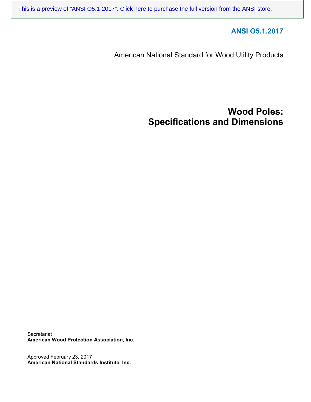# **ANSI O5.1.2017**

American National Standard for Wood Utility Products

**Wood Poles: Specifications and Dimensions** 

**Secretariat American Wood Protection Association, Inc.** 

Approved February 23, 2017 **American National Standards Institute, Inc.**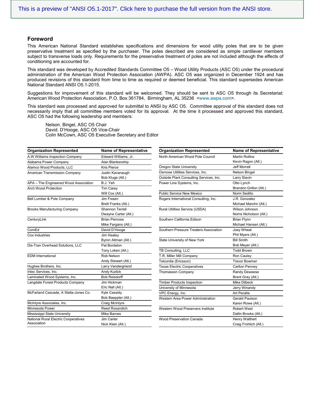### **Foreword**

This American National Standard establishes specifications and dimensions for wood utility poles that are to be given preservative treatment as specified by the purchaser. The poles described are considered as simple cantilever members subject to transverse loads only. Requirements for the preservative treatment of poles are not included although the effects of conditioning are accounted for.

This standard was developed by Accredited Standards Committee O5 – Wood Utility Products (ASC O5) under the procedural administration of the American Wood Protection Association (AWPA). ASC O5 was organized in December 1924 and has produced revisions of this standard from time to time as required or deemed beneficial. This standard supersedes American National Standard ANSI O5.1-2015.

Suggestions for improvement of this standard will be welcomed. They should be sent to ASC O5 through its Secretariat: American Wood Protection Association, P.O. Box 361784, Birmingham, AL 35236 <www.awpa.com>.

This standard was processed and approved for submittal to ANSI by ASC O5. Committee approval of this standard does not necessarily imply that all committee members voted for its approval. At the time it processed and approved this standard, ASC O5 had the following leadership and members:

Nelson. Bingel, ASC O5 Chair David. D'Hooge, ASC O5 Vice-Chair Colin McCown, ASC O5 Executive Secretary and Editor

| <b>Organization Represented</b>             | <b>Name of Representative</b> | <b>Organization Represented</b>         | <b>Name of Representative</b> |
|---------------------------------------------|-------------------------------|-----------------------------------------|-------------------------------|
| A.W Williams Inspection Company             | Edward Williams, Jr.          | North American Wood Pole Council        | <b>Martin Rollins</b>         |
| Alabama Power Company                       | Alan Blankenship              |                                         | Kevin Ragon (Alt.)            |
| Alamco Wood Products, LLC                   | <b>Kris Pierce</b>            | Oregon State University                 | Jeff Morrell                  |
| American Transmission Company               | Justin Kavanaugh              | Osmose Utilities Services, Inc.         | Nelson Bingel                 |
|                                             | Bob Kluge (Alt.)              | Outside Plant Consulting Services, Inc. | Larry Slavin                  |
| APA - The Engineered Wood Association       | B.J. Yeh                      | Power Line Systems, Inc.                | Otto Lynch                    |
| <b>Arch Wood Protection</b>                 | <b>Tim Carey</b>              |                                         | Brandon Grillon (Alt.)        |
|                                             | Will Cox (Alt.)               | Public Service New Mexico               | Norm Sedillo                  |
| Bell Lumber & Pole Company                  | Jim Fixsen                    | Rogers International Consulting, Inc.   | J.R. Gonzalez                 |
|                                             | Brett Franks (Alt.)           |                                         | Michael Marohn (Alt.)         |
| <b>Brooks Manufacturing Company</b>         | <b>Shannon Terrell</b>        | Rural Utilities Service (USDA)          | Wilson Johnson                |
|                                             | Dwayne Carter (Alt.)          |                                         | Norris Nicholson (Alt.)       |
| CenturyLink                                 | <b>Brian Penrose</b>          | Southern California Edison              | <b>Brian Flynn</b>            |
|                                             | Mike Fargano (Alt.)           |                                         | Michael Hansen (Alt.)         |
| ComEd                                       | David D'Hooge                 | Southern Pressure Treaters Association  | Joey Wheat                    |
| Cox Industries                              | Jim Healey                    |                                         | Phil Myers (Alt.)             |
|                                             | Byron Altman (Alt.)           | State University of New York            | <b>Bill Smith</b>             |
| Dis-Tran Overhead Solutions, LLC            | Pat Bordelon                  |                                         | Bob Meyer (Alt.)              |
|                                             | Tony Loken (Alt.)             | TB Consulting, LLC                      | <b>Todd Brown</b>             |
| <b>EDM</b> International                    | Rob Nelson                    | T.R. Miller Mill Company                | Ron Cauley                    |
|                                             | Andy Stewart (Alt.)           | Telcordia (Ericsson)                    | <b>Trevor Bowmer</b>          |
| Hughes Brothers, Inc.                       | Larry Vandergriend            | <b>Texas Electric Cooperatives</b>      | Carlton Penney                |
| Intec Services, Inc.                        | Andy Kudick                   | <b>Thomasson Company</b>                | Randy Deweese                 |
| Laminated Wood Systems, Inc.                | <b>Bob Reisdorff</b>          |                                         | Brent Gray (Alt.)             |
| Langdale Forest Products Company            | Jim Hickman                   | <b>Timber Products Inspection</b>       | <b>Mike Dilbeck</b>           |
|                                             | Eric Nall (Alt.)              | University of Minnesota                 | Jerry Winandy                 |
| McFarland Cascade, A Stella-Jones Co.       | Kyle Cassidy                  | VPC Energy, Inc.                        | Art Peralta                   |
|                                             | Bob Baeppler (Alt.)           | Western Area Power Administration       | Gerald Paulson                |
| McIntyre Associates, Inc.                   | Craig McIntyre                |                                         | Karen Rowe (Alt.)             |
| Minnesota Power                             | <b>Reed Rosandich</b>         | Western Wood Preservers Institute       | <b>Robert West</b>            |
| Mississippi State University                | <b>Mike Barnes</b>            |                                         | Dallin Brooks (Alt.)          |
| <b>National Rural Electric Cooperatives</b> | Jim Carter                    | Wood Preservation Canada                | Henry Walthert                |
| Association                                 | Nick Klein (Alt.)             |                                         | Craig Frohlich (Alt.)         |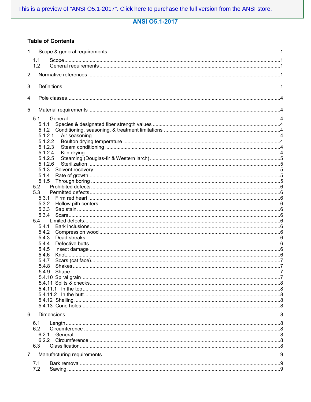# **ANSI 05.1-2017**

# **Table of Contents**

| 1              |                    |  |
|----------------|--------------------|--|
|                | 1.1                |  |
|                | 1.2                |  |
| $\overline{2}$ |                    |  |
|                |                    |  |
| 3              |                    |  |
| 4              |                    |  |
|                |                    |  |
| 5              |                    |  |
|                | 5.1                |  |
|                | 5.1.1              |  |
|                | 5.1.2              |  |
|                | 5.1.2.1            |  |
|                | 5.1.2.2            |  |
|                | 5.1.2.3<br>5.1.2.4 |  |
|                | 5.1.2.5            |  |
|                | 5.1.2.6            |  |
|                | 5.1.3              |  |
|                | 5.1.4              |  |
|                | 5.1.5<br>5.2       |  |
|                | 5.3                |  |
|                | 5.3.1              |  |
|                | 5.3.2              |  |
|                | 5.3.3              |  |
|                | 5.3.4<br>5.4       |  |
|                | 5.4.1              |  |
|                | 5.4.2              |  |
|                | 5.4.3              |  |
|                | 5.4.4              |  |
|                | 5.4.5<br>5.4.6     |  |
|                | 5.4.7              |  |
|                | 5.4.8              |  |
|                | 5.4.9              |  |
|                |                    |  |
|                |                    |  |
|                |                    |  |
|                |                    |  |
|                |                    |  |
| 6              |                    |  |
|                |                    |  |
|                | 6.1<br>6.2         |  |
|                | 6.2.1              |  |
|                |                    |  |
|                | 6.3                |  |
| $\overline{7}$ |                    |  |
|                | 7.1                |  |
|                | 7.2                |  |
|                |                    |  |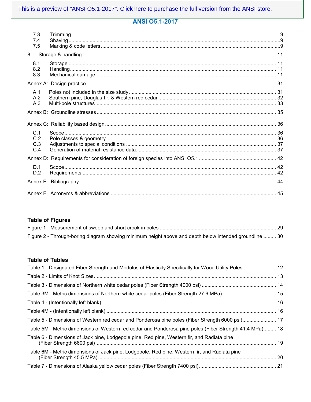# **ANSI 05.1-2017**

| 7.3<br>7.4<br>7.5        |  |
|--------------------------|--|
| 8                        |  |
| 8.1<br>8.2<br>8.3        |  |
|                          |  |
| A.1<br>A.2<br>A.3        |  |
|                          |  |
|                          |  |
| C.1<br>C.2<br>C.3<br>C.4 |  |
|                          |  |
| D.1<br>D.2               |  |
|                          |  |
|                          |  |

# **Table of Figures**

| Figure 2 - Through-boring diagram showing minimum height above and depth below intended groundline  30 |  |
|--------------------------------------------------------------------------------------------------------|--|

# **Table of Tables**

| Table 1 - Designated Fiber Strength and Modulus of Elasticity Specifically for Wood Utility Poles  12   |  |
|---------------------------------------------------------------------------------------------------------|--|
|                                                                                                         |  |
|                                                                                                         |  |
| Table 3M - Metric dimensions of Northern white cedar poles (Fiber Strength 27.6 MPa)  15                |  |
|                                                                                                         |  |
|                                                                                                         |  |
| Table 5 - Dimensions of Western red cedar and Ponderosa pine poles (Fiber Strength 6000 psi) 17         |  |
| Table 5M - Metric dimensions of Western red cedar and Ponderosa pine poles (Fiber Strength 41.4 MPa) 18 |  |
| Table 6 - Dimensions of Jack pine, Lodgepole pine, Red pine, Western fir, and Radiata pine              |  |
| Table 6M - Metric dimensions of Jack pine, Lodgepole, Red pine, Western fir, and Radiata pine           |  |
|                                                                                                         |  |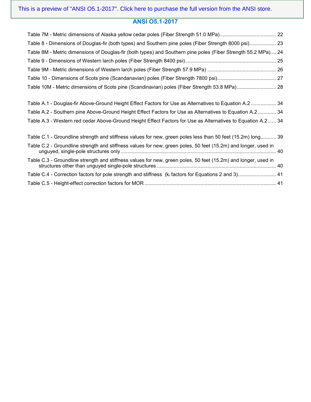[This is a preview of "ANSI O5.1-2017". Click here to purchase the full version from the ANSI store.](https://webstore.ansi.org/Standards/ANSI/ANSIO52017?source=preview)

# **ANSI O5.1-2017**

| Table 7M - Metric dimensions of Alaska yellow cedar poles (Fiber Strength 51.0 MPa) 22                         |
|----------------------------------------------------------------------------------------------------------------|
| Table 8 - Dimensions of Douglas-fir (both types) and Southern pine poles (Fiber Strength 8000 psi) 23          |
| Table 8M - Metric dimensions of Douglas-fir (both types) and Southern pine poles (Fiber Strength 55.2 MPa) 24  |
|                                                                                                                |
|                                                                                                                |
|                                                                                                                |
| Table 10M - Metric dimensions of Scots pine (Scandinavian) poles (Fiber Strength 53.8 MPa) 28                  |
|                                                                                                                |
| Table A.1 - Douglas-fir Above-Ground Height Effect Factors for Use as Alternatives to Equation A.2  34         |
| Table A.2 - Southern pine Above-Ground Height Effect Factors for Use as Alternatives to Equation A.2  34       |
| Table A.3 - Western red cedar Above-Ground Height Effect Factors for Use as Alternatives to Equation A.2 34    |
|                                                                                                                |
| Table C.1 - Groundline strength and stiffness values for new, green poles less than 50 feet (15.2m) long 39    |
| Table C.2 - Groundline strength and stiffness values for new, green poles, 50 feet (15.2m) and longer, used in |
| Table C.3 - Groundline strength and stiffness values for new, green poles, 50 feet (15.2m) and longer, used in |
| Table C.4 - Correction factors for pole strength and stiffness (ki factors for Equations 2 and 3) 41           |
|                                                                                                                |